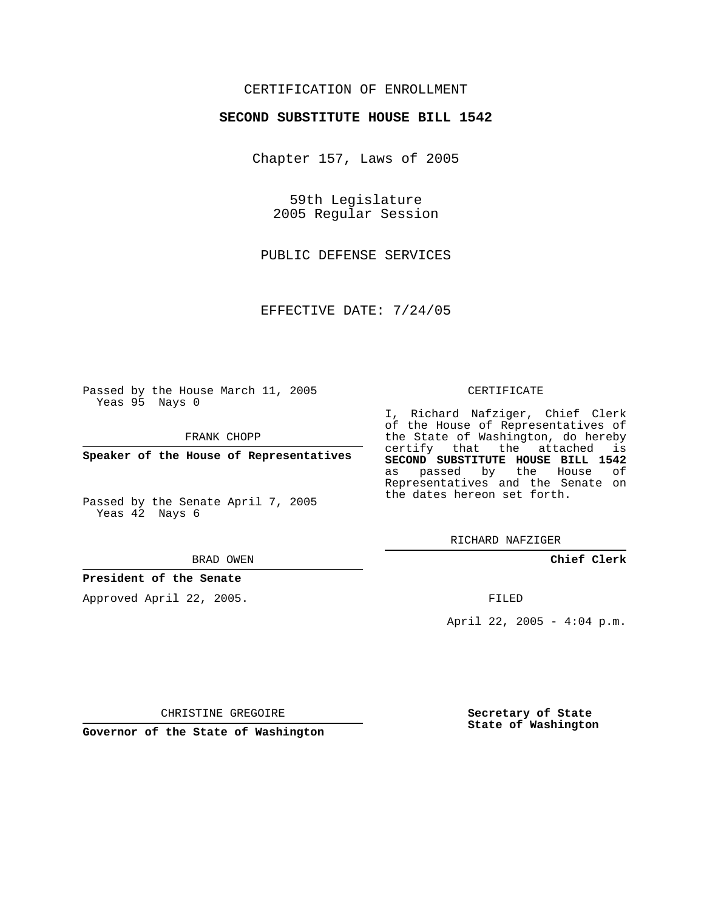## CERTIFICATION OF ENROLLMENT

### **SECOND SUBSTITUTE HOUSE BILL 1542**

Chapter 157, Laws of 2005

59th Legislature 2005 Regular Session

PUBLIC DEFENSE SERVICES

EFFECTIVE DATE: 7/24/05

Passed by the House March 11, 2005 Yeas 95 Nays 0

FRANK CHOPP

**Speaker of the House of Representatives**

Passed by the Senate April 7, 2005 Yeas 42 Nays 6

#### BRAD OWEN

## **President of the Senate**

Approved April 22, 2005.

#### CERTIFICATE

I, Richard Nafziger, Chief Clerk of the House of Representatives of the State of Washington, do hereby certify that the attached is **SECOND SUBSTITUTE HOUSE BILL 1542** as passed by the House of Representatives and the Senate on the dates hereon set forth.

RICHARD NAFZIGER

**Chief Clerk**

FILED

April 22, 2005 - 4:04 p.m.

CHRISTINE GREGOIRE

**Governor of the State of Washington**

**Secretary of State State of Washington**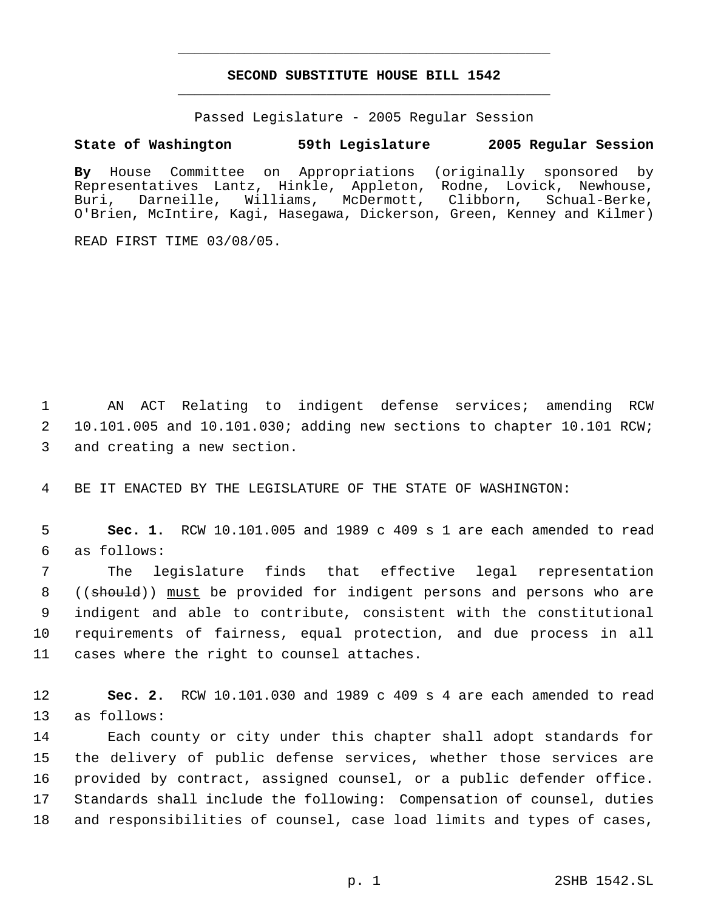# **SECOND SUBSTITUTE HOUSE BILL 1542** \_\_\_\_\_\_\_\_\_\_\_\_\_\_\_\_\_\_\_\_\_\_\_\_\_\_\_\_\_\_\_\_\_\_\_\_\_\_\_\_\_\_\_\_\_

\_\_\_\_\_\_\_\_\_\_\_\_\_\_\_\_\_\_\_\_\_\_\_\_\_\_\_\_\_\_\_\_\_\_\_\_\_\_\_\_\_\_\_\_\_

Passed Legislature - 2005 Regular Session

### **State of Washington 59th Legislature 2005 Regular Session**

**By** House Committee on Appropriations (originally sponsored by Representatives Lantz, Hinkle, Appleton, Rodne, Lovick, Newhouse, Buri, Darneille, Williams, McDermott, Clibborn, Schual-Berke, O'Brien, McIntire, Kagi, Hasegawa, Dickerson, Green, Kenney and Kilmer)

READ FIRST TIME 03/08/05.

 1 AN ACT Relating to indigent defense services; amending RCW 2 10.101.005 and 10.101.030; adding new sections to chapter 10.101 RCW; 3 and creating a new section.

4 BE IT ENACTED BY THE LEGISLATURE OF THE STATE OF WASHINGTON:

 5 **Sec. 1.** RCW 10.101.005 and 1989 c 409 s 1 are each amended to read 6 as follows:

 The legislature finds that effective legal representation 8 ((should)) must be provided for indigent persons and persons who are indigent and able to contribute, consistent with the constitutional requirements of fairness, equal protection, and due process in all cases where the right to counsel attaches.

12 **Sec. 2.** RCW 10.101.030 and 1989 c 409 s 4 are each amended to read 13 as follows:

 Each county or city under this chapter shall adopt standards for the delivery of public defense services, whether those services are provided by contract, assigned counsel, or a public defender office. Standards shall include the following: Compensation of counsel, duties and responsibilities of counsel, case load limits and types of cases,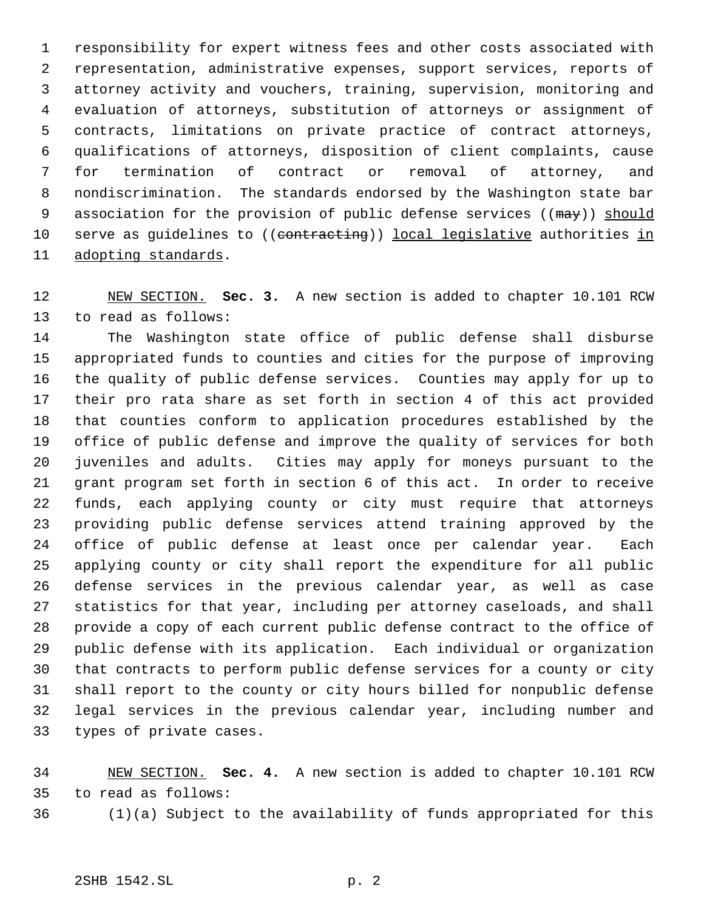responsibility for expert witness fees and other costs associated with representation, administrative expenses, support services, reports of attorney activity and vouchers, training, supervision, monitoring and evaluation of attorneys, substitution of attorneys or assignment of contracts, limitations on private practice of contract attorneys, qualifications of attorneys, disposition of client complaints, cause for termination of contract or removal of attorney, and nondiscrimination. The standards endorsed by the Washington state bar 9 association for the provision of public defense services ((may)) should 10 serve as quidelines to ((contracting)) local legislative authorities in adopting standards.

 NEW SECTION. **Sec. 3.** A new section is added to chapter 10.101 RCW to read as follows:

 The Washington state office of public defense shall disburse appropriated funds to counties and cities for the purpose of improving the quality of public defense services. Counties may apply for up to their pro rata share as set forth in section 4 of this act provided that counties conform to application procedures established by the office of public defense and improve the quality of services for both juveniles and adults. Cities may apply for moneys pursuant to the grant program set forth in section 6 of this act. In order to receive funds, each applying county or city must require that attorneys providing public defense services attend training approved by the office of public defense at least once per calendar year. Each applying county or city shall report the expenditure for all public defense services in the previous calendar year, as well as case statistics for that year, including per attorney caseloads, and shall provide a copy of each current public defense contract to the office of public defense with its application. Each individual or organization that contracts to perform public defense services for a county or city shall report to the county or city hours billed for nonpublic defense legal services in the previous calendar year, including number and types of private cases.

 NEW SECTION. **Sec. 4.** A new section is added to chapter 10.101 RCW to read as follows:

(1)(a) Subject to the availability of funds appropriated for this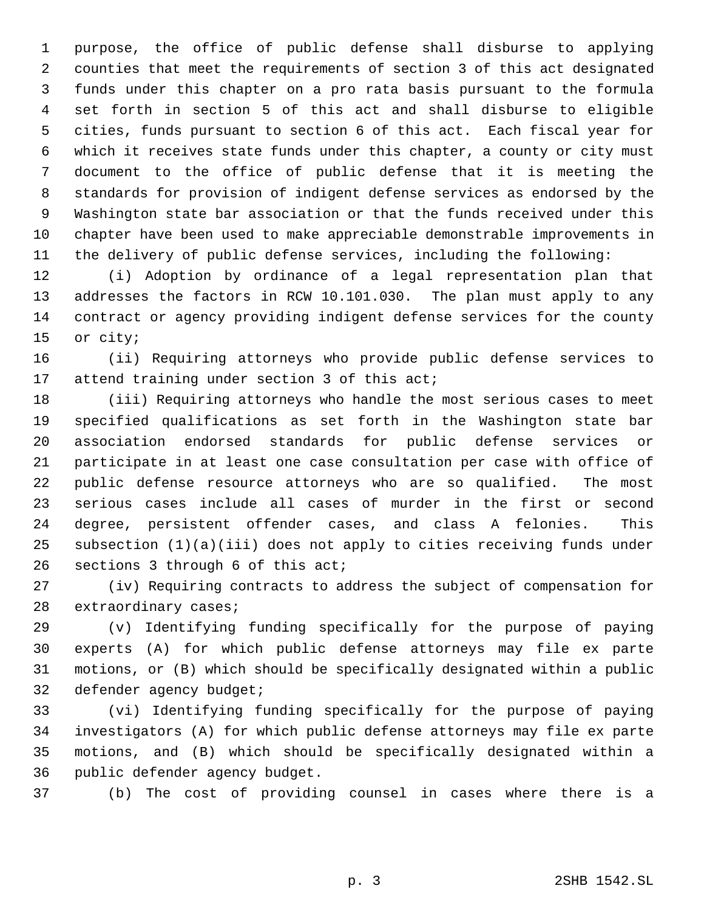purpose, the office of public defense shall disburse to applying counties that meet the requirements of section 3 of this act designated funds under this chapter on a pro rata basis pursuant to the formula set forth in section 5 of this act and shall disburse to eligible cities, funds pursuant to section 6 of this act. Each fiscal year for which it receives state funds under this chapter, a county or city must document to the office of public defense that it is meeting the standards for provision of indigent defense services as endorsed by the Washington state bar association or that the funds received under this chapter have been used to make appreciable demonstrable improvements in the delivery of public defense services, including the following:

 (i) Adoption by ordinance of a legal representation plan that addresses the factors in RCW 10.101.030. The plan must apply to any contract or agency providing indigent defense services for the county or city;

 (ii) Requiring attorneys who provide public defense services to attend training under section 3 of this act;

 (iii) Requiring attorneys who handle the most serious cases to meet specified qualifications as set forth in the Washington state bar association endorsed standards for public defense services or participate in at least one case consultation per case with office of public defense resource attorneys who are so qualified. The most serious cases include all cases of murder in the first or second degree, persistent offender cases, and class A felonies. This subsection (1)(a)(iii) does not apply to cities receiving funds under sections 3 through 6 of this act;

 (iv) Requiring contracts to address the subject of compensation for extraordinary cases;

 (v) Identifying funding specifically for the purpose of paying experts (A) for which public defense attorneys may file ex parte motions, or (B) which should be specifically designated within a public defender agency budget;

 (vi) Identifying funding specifically for the purpose of paying investigators (A) for which public defense attorneys may file ex parte motions, and (B) which should be specifically designated within a public defender agency budget.

(b) The cost of providing counsel in cases where there is a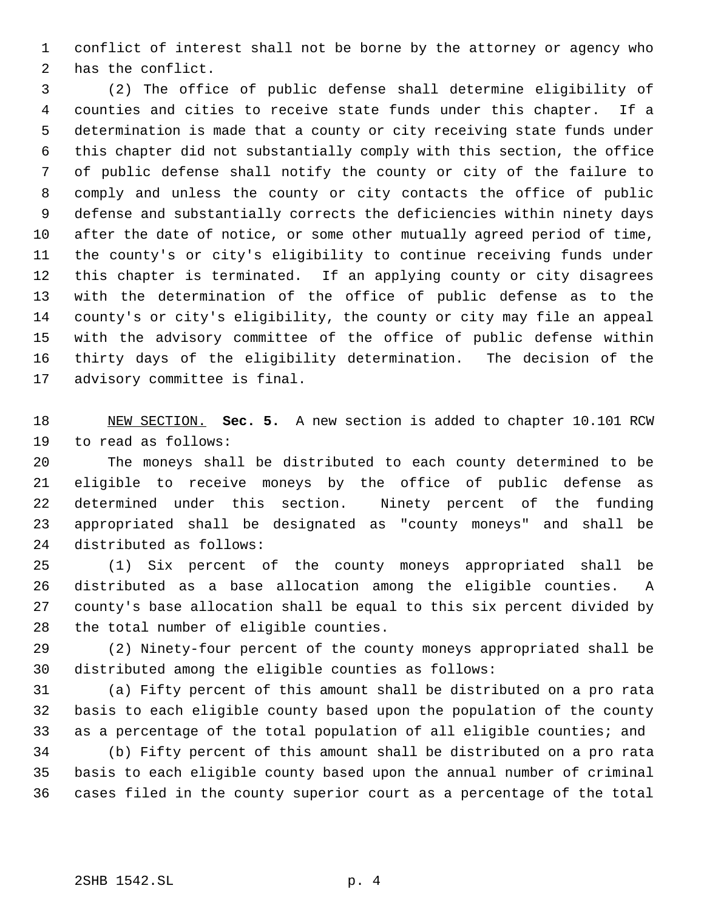conflict of interest shall not be borne by the attorney or agency who has the conflict.

 (2) The office of public defense shall determine eligibility of counties and cities to receive state funds under this chapter. If a determination is made that a county or city receiving state funds under this chapter did not substantially comply with this section, the office of public defense shall notify the county or city of the failure to comply and unless the county or city contacts the office of public defense and substantially corrects the deficiencies within ninety days after the date of notice, or some other mutually agreed period of time, the county's or city's eligibility to continue receiving funds under this chapter is terminated. If an applying county or city disagrees with the determination of the office of public defense as to the county's or city's eligibility, the county or city may file an appeal with the advisory committee of the office of public defense within thirty days of the eligibility determination. The decision of the advisory committee is final.

 NEW SECTION. **Sec. 5.** A new section is added to chapter 10.101 RCW to read as follows:

 The moneys shall be distributed to each county determined to be eligible to receive moneys by the office of public defense as determined under this section. Ninety percent of the funding appropriated shall be designated as "county moneys" and shall be distributed as follows:

 (1) Six percent of the county moneys appropriated shall be distributed as a base allocation among the eligible counties. A county's base allocation shall be equal to this six percent divided by the total number of eligible counties.

 (2) Ninety-four percent of the county moneys appropriated shall be distributed among the eligible counties as follows:

 (a) Fifty percent of this amount shall be distributed on a pro rata basis to each eligible county based upon the population of the county as a percentage of the total population of all eligible counties; and

 (b) Fifty percent of this amount shall be distributed on a pro rata basis to each eligible county based upon the annual number of criminal cases filed in the county superior court as a percentage of the total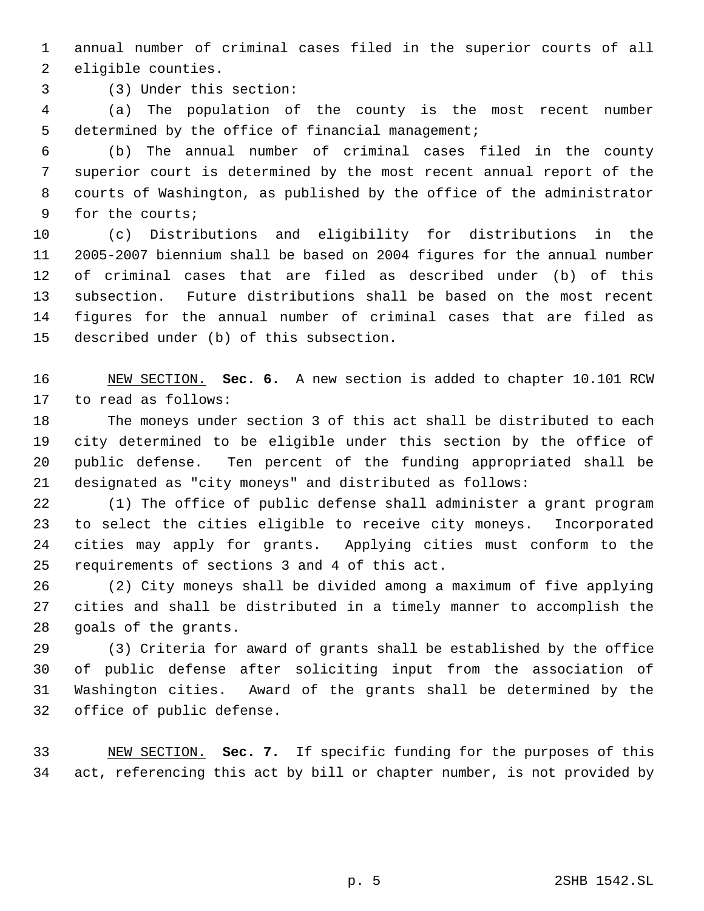annual number of criminal cases filed in the superior courts of all eligible counties.

(3) Under this section:

 (a) The population of the county is the most recent number determined by the office of financial management;

 (b) The annual number of criminal cases filed in the county superior court is determined by the most recent annual report of the courts of Washington, as published by the office of the administrator for the courts;

 (c) Distributions and eligibility for distributions in the 2005-2007 biennium shall be based on 2004 figures for the annual number of criminal cases that are filed as described under (b) of this subsection. Future distributions shall be based on the most recent figures for the annual number of criminal cases that are filed as described under (b) of this subsection.

 NEW SECTION. **Sec. 6.** A new section is added to chapter 10.101 RCW to read as follows:

 The moneys under section 3 of this act shall be distributed to each city determined to be eligible under this section by the office of public defense. Ten percent of the funding appropriated shall be designated as "city moneys" and distributed as follows:

 (1) The office of public defense shall administer a grant program to select the cities eligible to receive city moneys. Incorporated cities may apply for grants. Applying cities must conform to the requirements of sections 3 and 4 of this act.

 (2) City moneys shall be divided among a maximum of five applying cities and shall be distributed in a timely manner to accomplish the goals of the grants.

 (3) Criteria for award of grants shall be established by the office of public defense after soliciting input from the association of Washington cities. Award of the grants shall be determined by the office of public defense.

 NEW SECTION. **Sec. 7.** If specific funding for the purposes of this act, referencing this act by bill or chapter number, is not provided by